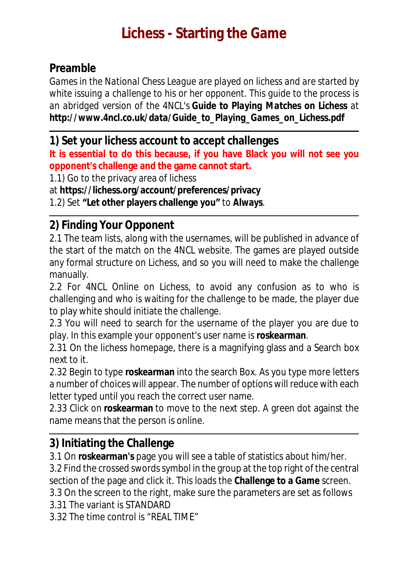# **Lichess - Starting the Game**

#### **Preamble**

*Games in the National Chess League are played on lichess and are started by white issuing a challenge to his or her opponent. This guide to the process is an abridged version of the 4NCL's Guide to Playing Matches on Lichess at http://www.4ncl.co.uk/data/Guide\_to\_Playing\_Games\_on\_Lichess.pdf* 

**1) Set your lichess account to accept challenges** 

**It is essential to do this because, if you have Black you will not see you opponent's challenge and the game cannot start.**

1.1) Go to the privacy area of lichess

at **https://lichess.org/account/preferences/privacy**

1.2) Set **"Let other players challenge you"** to **Always**.

### **2) Finding Your Opponent**

2.1 The team lists, along with the usernames, will be published in advance of the start of the match on the 4NCL website. The games are played outside any formal structure on Lichess, and so you will need to make the challenge manually.

2.2 For 4NCL Online on Lichess, to avoid any confusion as to who is challenging and who is waiting for the challenge to be made, the player due to play white should initiate the challenge.

2.3 You will need to search for the username of the player you are due to play. In this example your opponent's user name is **roskearman**.

2.31 On the lichess homepage, there is a magnifying glass and a Search box next to it.

2.32 Begin to type **roskearman** into the search Box. As you type more letters a number of choices will appear. The number of options will reduce with each letter typed until you reach the correct user name.

2.33 Click on **roskearman** to move to the next step. A green dot against the name means that the person is online.

### **3) Initiating the Challenge**

3.1 On **roskearman's** page you will see a table of statistics about him/her.

3.2 Find the crossed swords symbol in the group at the top right of the central section of the page and click it. This loads the **Challenge to a Game** screen.

3.3 On the screen to the right, make sure the parameters are set as follows

3.31 The variant is STANDARD

3.32 The time control is "REAL TIME"